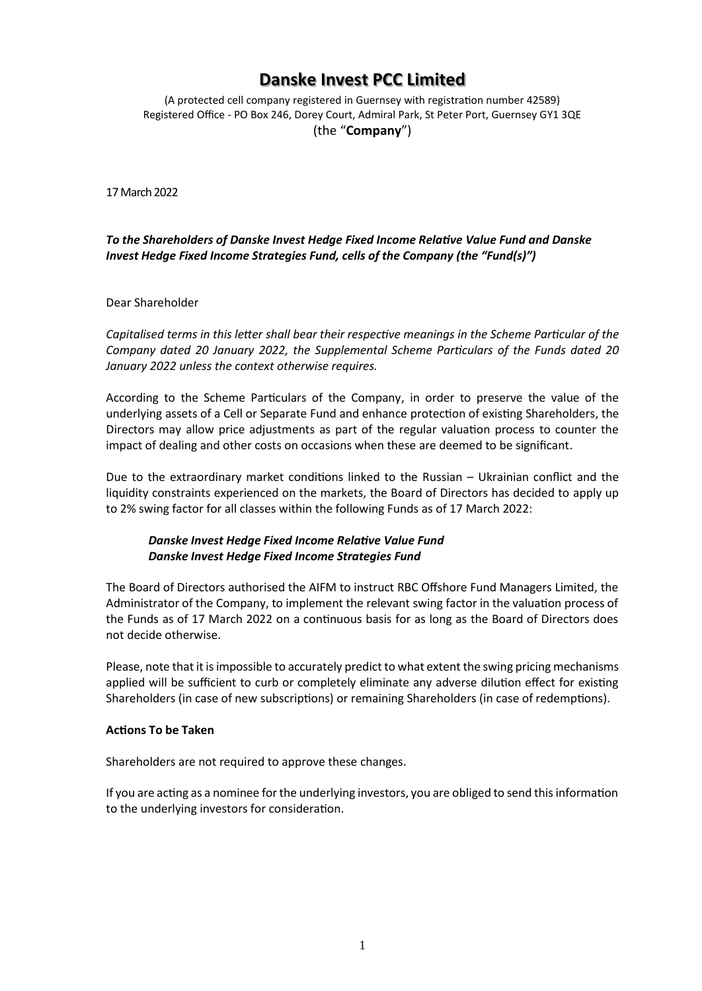## **Danske Invest PCC Limited**

(A protected cell company registered in Guernsey with registration number 42589) Registered Office - PO Box 246, Dorey Court, Admiral Park, St Peter Port, Guernsey GY1 3QE (the "**Company**")

17 March 2022

*To the Shareholders of Danske Invest Hedge Fixed Income Relative Value Fund and Danske Invest Hedge Fixed Income Strategies Fund, cells of the Company (the "Fund(s)")*

Dear Shareholder

*Capitalised terms in this letter shall bear their respective meanings in the Scheme Particular of the Company dated 20 January 2022, the Supplemental Scheme Particulars of the Funds dated 20 January 2022 unless the context otherwise requires.*

According to the Scheme Particulars of the Company, in order to preserve the value of the underlying assets of a Cell or Separate Fund and enhance protection of existing Shareholders, the Directors may allow price adjustments as part of the regular valuation process to counter the impact of dealing and other costs on occasions when these are deemed to be significant.

Due to the extraordinary market conditions linked to the Russian – Ukrainian conflict and the liquidity constraints experienced on the markets, the Board of Directors has decided to apply up to 2% swing factor for all classes within the following Funds as of 17 March 2022:

## *Danske Invest Hedge Fixed Income Relative Value Fund Danske Invest Hedge Fixed Income Strategies Fund*

The Board of Directors authorised the AIFM to instruct RBC Offshore Fund Managers Limited, the Administrator of the Company, to implement the relevant swing factor in the valuation process of the Funds as of 17 March 2022 on a continuous basis for as long as the Board of Directors does not decide otherwise.

Please, note that it is impossible to accurately predict to what extent the swing pricing mechanisms applied will be sufficient to curb or completely eliminate any adverse dilution effect for existing Shareholders (in case of new subscriptions) or remaining Shareholders (in case of redemptions).

## **Actions To be Taken**

Shareholders are not required to approve these changes.

If you are acting as a nominee for the underlying investors, you are obliged to send this information to the underlying investors for consideration.